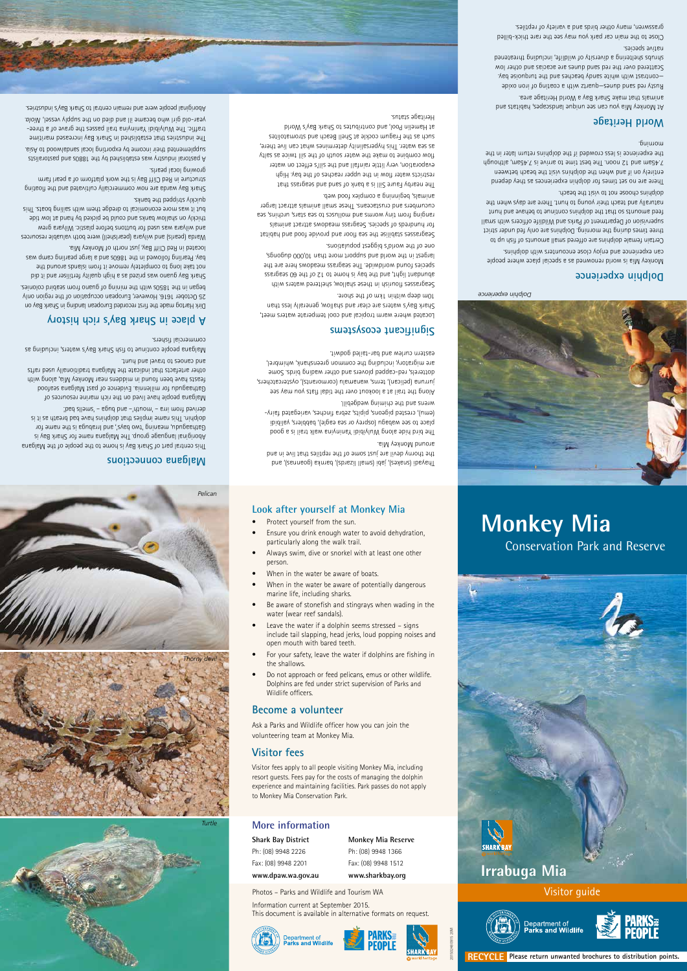## **Dolphin experience**

Monkey Mia is world renowned as a special place where people

can experience and enjoy close encounters with dolphins. Certain female dolphins are offered small amounts of fish up to three times during the morning. Dolphins are only fed under strict supervision of Department of Parks and Wildlife officers with small feed amounts so that the dolphins continue to behave and hunt naturally and teach their young to hunt. There are days when the dolphins choose not to visit the beach.

There are no set times for dolphin experiences as they depend entirely on if and when the dolphins visit the beach between 7.45am and 12 noon. The best time to arrive is 7.45am, although the experience is less crowded if the dolphins return later in the morning.

## **World Heritage**

At Monkey Mia you can see unique landscapes, habitats and animals that make Shark Bay a World Heritage area.

Rusty red sand dunes—quartz with a coating of iron oxide —contrast with white sandy beaches and the turquoise bay. Scattered over the red sand dunes are acacias and other low shrubs sheltering a diversity of wildlife, including threatened native species.

Close to the main car park you may see the rare thick-billed grasswren, many other birds and a variety of reptiles.

Seagrasses stabilise the sea floor and provide food and habitat for hundreds of species. Seagrass meadows attract animals ranging from tiny worms and molluscs to sea stars, urchins, sea cucumbers and crustaceans. These small animals attract larger animals, beginning a complex food web.



*Dolphin experience*

**RECYCLE Please return unwanted brochures to distribution points.**



20150248 0915 20M





Thayadi (snakes), jabi (small lizards), barnka (goannas), and the thorny devil are just some of the reptiles that live in and around Monkey Mia.

The bird hide along Wulyibidi Yaninyina walk trail is a good place to see wabagu (osprey or sea eagle), babblers, yalibidi (emu), crested pigeons, pipits, zebra finches, variegated fairywrens and the chiming wedgebill.

Along the trail at a lookout over the tidal flats you may see jurruna (pelican), terns, wanamalu (cormorants), oystercatchers, dotterels, red-capped plovers and other wading birds. Some are migratory, including the common greenshank, whimbrel, eastern curlew and bar-tailed godwit.

# **Significant ecosystems**

Located where warm tropical and cool temperate waters meet, Shark Bay's waters are clear and shallow, generally less than 10m deep within 1km of the shore.

Seagrasses flourish in these shallow, sheltered waters with abundant light, and the bay is home to 12 of the 60 seagrass species found worldwide. The seagrass meadows here are the largest in the world and support more than 10,000 dugongs, one of the world's biggest populations.

The nearby Faure Sill is a bank of sand and seagrass that restricts water flow in the upper reaches of the bay. High evaporation, very little rainfall and the sill's effect on water flow combine to make the water south of the sill twice as salty as sea water. This hypersalinity determines what can live there, such as the Fragum cockle at Shell Beach and stromatolites at Hamelin Pool, and contributes to Shark Bay's World

- 
- 
- 
- 
- include tail slapping, head jerks, loud popping noises and
- water (wear reef sandals).
- Be aware of stonefish and stingrays when wading in the
- When in the water be aware of potentially dangerous marine life, including sharks.
- When in the water be aware of boats.
- particularly along the walk trail. Always swim, dive or snorkel with at least one other person.
- Protect yourself from the sun. Ensure you drink enough water to avoid dehydration,
- 
- Leave the water if a dolphin seems stressed signs open mouth with bared teeth.
- 

Heritage status.



# **Malgana connections**

This central part of Shark Bay is home to the people of the Malgana Aboriginal language group. The Malgana name for Shark Bay is Gathaagudu, meaning 'two bays', and Irrabuga is the name for dolphin. This name implies that dolphins have bad breath as it is derived from irra – 'mouth'– and buga – 'smells bad'.



Malgana people have lived on the rich marine resources of Gathaagudu for millennia. Evidence of past Malgana seafood feasts have been found in middens near Monkey Mia, along with other artefacts that indicate the Malgana traditionally used rafts and canoes to travel and hunt.

Malgana people continue to fish Shark Bay's waters, including as commercial fishers.

# **A place in Shark Bay's rich history**

Dirk Hartog made the first recorded European landing in Shark Bay on 25 October 1616. However, European occupation of the region only began in the 1850s with the mining of guano from seabird colonies.

Shark Bay guano was prized as a high quality fertiliser and it did not take long to completely remove it from islands around the bay. Pearling followed in the 1860s and a large pearling camp was located in Red Cliff Bay, just north of Monkey Mia.

Warda (pearls) and wilyara (pearlshell) were both valuable resources and wilyara was used for buttons before plastic. Wilyara grew thickly on shallow banks and could be picked by hand at low tide but it was more economical to dredge them with sailing boats. This quickly stripped the banks.

Shark Bay warda are now commercially cultivated and the floating structure in Red Cliff Bay is the work platform of a pearl farm growing local pearls.

A pastoral industry was established by the 1880s and pastoralists supplemented their income by exporting local sandalwood to Asia. The industries that established in Shark Bay increased maritime

traffic. The Wulyibidi Yaninyina trail passes the grave of a three- . *Niola* year-old girl who became ill and died on the supply vessel, Aboriginal people were and remain central to Shark Bay's industries.

# **More information**

**Shark Bay District** Ph: (08) 9948 2226 Fax: (08) 9948 2201 **www.dpaw.wa.gov.au** **Monkey Mia Reserve** Ph: (08) 9948 1366 Fax: (08) 9948 1512 **www.sharkbay.org**





Information current at September 2015. This document is available in alternative formats on request.







Photos – Parks and Wildlife and Tourism WA

## **Look after yourself at Monkey Mia**

# **Monkey Mia** Conservation Park and Reserve

• For your safety, leave the water if dolphins are fishing in

the shallows.

• Do not approach or feed pelicans, emus or other wildlife. Dolphins are fed under strict supervision of Parks and

Wildlife officers.

**Become a volunteer**

# Ask a Parks and Wildlife officer how you can join the

volunteering team at Monkey Mia.

# **Visitor fees**

Visitor fees apply to all people visiting Monkey Mia, including resort guests. Fees pay for the costs of managing the dolphin experience and maintaining facilities. Park passes do not apply to Monkey Mia Conservation Park.